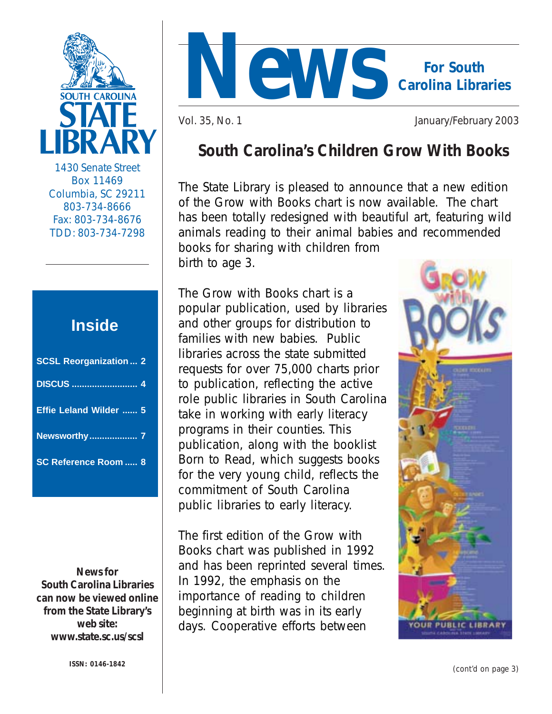

1430 Senate Street Box 11469 Columbia, SC 29211 803-734-8666 Fax: 803-734-8676 TDD: 803-734-7298

## **Inside**

| <b>SCSL Reorganization  2</b> |  |
|-------------------------------|--|
|                               |  |
| Effie Leland Wilder  5        |  |
| <b>Newsworthy 7</b>           |  |
| <b>SC Reference Room 8</b>    |  |

*News for South Carolina Librarie***s can now be viewed online from the State Library's web site: www.state.sc.us/scsl**



Vol. 35, No. 1 January/February 2003

## **South Carolina's Children Grow With Books**

The State Library is pleased to announce that a new edition of the *Grow with Books* chart is now available. The chart has been totally redesigned with beautiful art, featuring wild animals reading to their animal babies and recommended books for sharing with children from birth to age 3.

The *Grow with Books* chart is a popular publication, used by libraries and other groups for distribution to families with new babies. Public libraries across the state submitted requests for over 75,000 charts prior to publication, reflecting the active role public libraries in South Carolina take in working with early literacy programs in their counties. This publication, along with the booklist *Born to Read,* which suggests books for the very young child, reflects the commitment of South Carolina public libraries to early literacy.

The first edition of the *Grow with Books* chart was published in 1992 and has been reprinted several times. In 1992, the emphasis on the importance of reading to children beginning at birth was in its early days. Cooperative efforts between

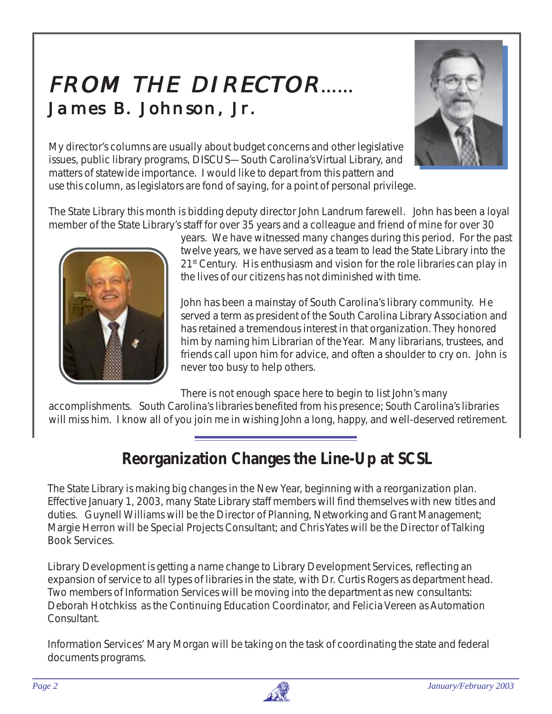# FROM THE DIRECTOR…… James B. Johnson, Jr.



My director's columns are usually about budget concerns and other legislative issues, public library programs, DISCUS—South Carolina's Virtual Library, and matters of statewide importance. I would like to depart from this pattern and use this column, as legislators are fond of saying, for a point of personal privilege.

. The State Library this month is bidding deputy director John Landrum farewell. John has been a loyal member of the State Library's staff for over 35 years and a colleague and friend of mine for over 30



years. We have witnessed many changes during this period. For the past twelve years, we have served as a team to lead the State Library into the 21<sup>st</sup> Century. His enthusiasm and vision for the role libraries can play in the lives of our citizens has not diminished with time.

John has been a mainstay of South Carolina's library community. He served a term as president of the South Carolina Library Association and has retained a tremendous interest in that organization. They honored him by naming him Librarian of the Year. Many librarians, trustees, and friends call upon him for advice, and often a shoulder to cry on. John is never too busy to help others.

There is not enough space here to begin to list John's many

accomplishments. South Carolina's libraries benefited from his presence; South Carolina's libraries will miss him. I know all of you join me in wishing John a long, happy, and well-deserved retirement.

## **Reorganization Changes the Line-Up at SCSL**

The State Library is making big changes in the New Year, beginning with a reorganization plan. Effective January 1, 2003, many State Library staff members will find themselves with new titles and duties. Guynell Williams will be the Director of Planning, Networking and Grant Management; Margie Herron will be Special Projects Consultant; and Chris Yates will be the Director of Talking Book Services.

Library Development is getting a name change to Library Development Services, reflecting an expansion of service to all types of libraries in the state, with Dr. Curtis Rogers as department head. Two members of Information Services will be moving into the department as new consultants: Deborah Hotchkiss as the Continuing Education Coordinator, and Felicia Vereen as Automation Consultant.

Information Services' Mary Morgan will be taking on the task of coordinating the state and federal documents programs.

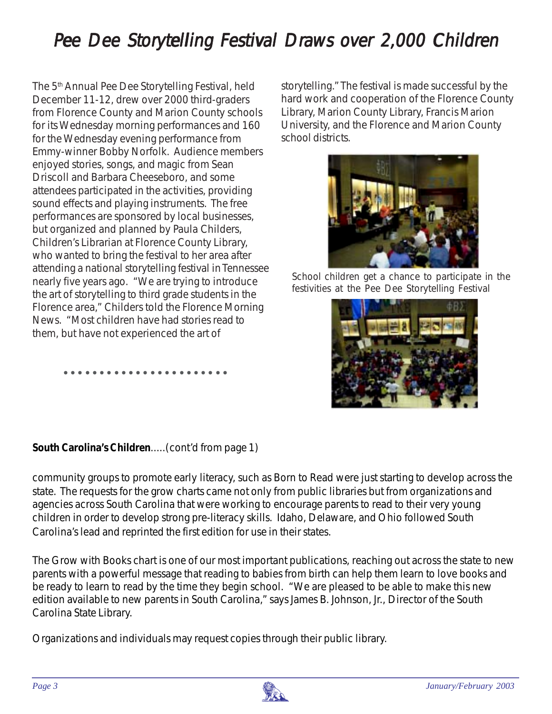# Pee Dee Storytelling Festival Draws over 2,000 Children

The 5<sup>th</sup> Annual Pee Dee Storytelling Festival, held December 11-12, drew over 2000 third-graders from Florence County and Marion County schools for its Wednesday morning performances and 160 for the Wednesday evening performance from Emmy-winner Bobby Norfolk. Audience members enjoyed stories, songs, and magic from Sean Driscoll and Barbara Cheeseboro, and some attendees participated in the activities, providing sound effects and playing instruments. The free performances are sponsored by local businesses, but organized and planned by Paula Childers, Children's Librarian at Florence County Library, who wanted to bring the festival to her area after attending a national storytelling festival in Tennessee nearly five years ago. "We are trying to introduce the art of storytelling to third grade students in the Florence area," Childers told the *Florence Morning News*. "Most children have had stories read to them, but have not experienced the art of

storytelling." The festival is made successful by the hard work and cooperation of the Florence County Library, Marion County Library, Francis Marion University, and the Florence and Marion County school districts.



*School children get a chance to participate in the festivities at the Pee Dee Storytelling Festival*



#### *South Carolina's Children.....(cont'd from page 1)*

○○○○○○○○○○○○○○○○○○○○○○○

community groups to promote early literacy, such as *Born to Read* were just starting to develop across the state. The requests for the grow charts came not only from public libraries but from organizations and agencies across South Carolina that were working to encourage parents to read to their very young children in order to develop strong pre-literacy skills. Idaho, Delaware, and Ohio followed South Carolina's lead and reprinted the first edition for use in their states.

The *Grow with Books* chart is one of our most important publications, reaching out across the state to new parents with a powerful message that reading to babies from birth can help them learn to love books and be ready to learn to read by the time they begin school. "We are pleased to be able to make this new edition available to new parents in South Carolina," says James B. Johnson, Jr., Director of the South Carolina State Library.

Organizations and individuals may request copies through their public library.

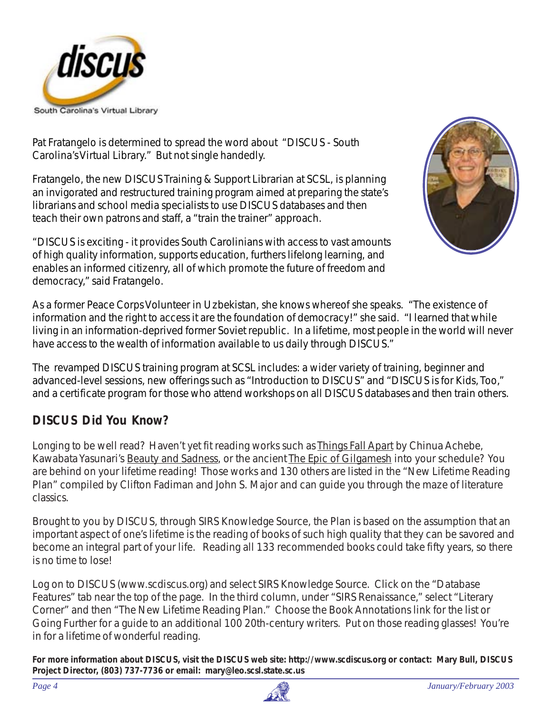

Pat Fratangelo is determined to spread the word about "DISCUS - South Carolina's Virtual Library." But not single handedly.

Fratangelo, the new DISCUS Training & Support Librarian at SCSL, is planning an invigorated and restructured training program aimed at preparing the state's librarians and school media specialists to use DISCUS databases and then teach their own patrons and staff, a "train the trainer" approach.

"DISCUS is exciting - it provides South Carolinians with access to vast amounts of high quality information, supports education, furthers lifelong learning, and enables an informed citizenry, all of which promote the future of freedom and democracy," said Fratangelo.



As a former Peace Corps Volunteer in Uzbekistan, she knows whereof she speaks. "The existence of information and the right to access it are the foundation of democracy!" she said. "I learned that while living in an information-deprived former Soviet republic. In a lifetime, most people in the world will never have access to the wealth of information available to us daily through DISCUS."

The revamped DISCUS training program at SCSL includes: a wider variety of training, beginner and advanced-level sessions, new offerings such as "Introduction to DISCUS" and "DISCUS is for Kids, Too," and a certificate program for those who attend workshops on all DISCUS databases and then train others.

### **DISCUS Did You Know?**

Longing to be well read? Haven't yet fit reading works such as Things Fall Apart by Chinua Achebe, Kawabata Yasunari's Beauty and Sadness, or the ancient The Epic of Gilgamesh into your schedule? You are behind on your lifetime reading! Those works and 130 others are listed in the "New Lifetime Reading Plan" compiled by Clifton Fadiman and John S. Major and can guide you through the maze of literature classics.

Brought to you by DISCUS, through SIRS Knowledge Source, the Plan is based on the assumption that an important aspect of one's lifetime is the reading of books of such high quality that they can be savored and become an integral part of your life. Reading all 133 recommended books could take fifty years, so there is no time to lose!

Log on to DISCUS (www.scdiscus.org) and select SIRS Knowledge Source. Click on the "Database Features" tab near the top of the page. In the third column, under "SIRS Renaissance," select "Literary Corner" and then "The New Lifetime Reading Plan." Choose the Book Annotations link for the list or Going Further for a guide to an additional 100 20th-century writers. Put on those reading glasses! You're in for a lifetime of wonderful reading.

**For more information about DISCUS, visit the DISCUS web site: http://www.scdiscus.org or contact: Mary Bull, DISCUS Project Director, (803) 737-7736 or email: mary@leo.scsl.state.sc.us**

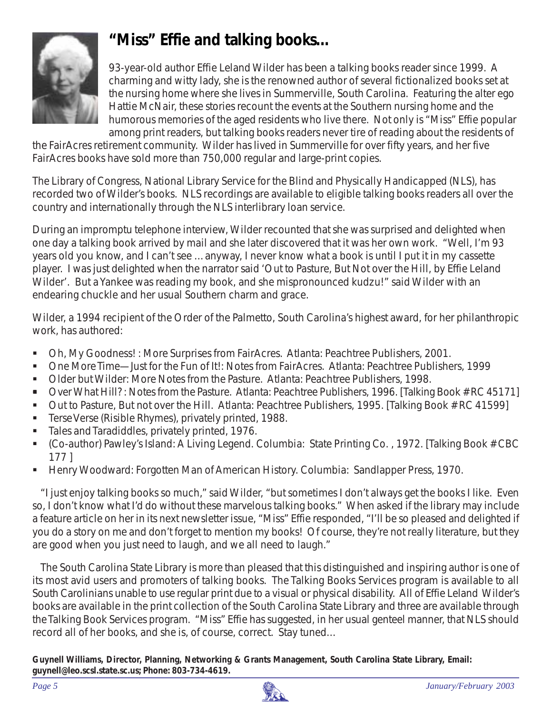

## **"Miss" Effie and talking books…**

93-year-old author Effie Leland Wilder has been a talking books reader since 1999. A charming and witty lady, she is the renowned author of several fictionalized books set at the nursing home where she lives in Summerville, South Carolina. Featuring the alter ego Hattie McNair, these stories recount the events at the Southern nursing home and the humorous memories of the aged residents who live there. Not only is "Miss" Effie popular among print readers, but talking books readers never tire of reading about the residents of

the FairAcres retirement community. Wilder has lived in Summerville for over fifty years, and her five FairAcres books have sold more than 750,000 regular and large-print copies.

The Library of Congress, National Library Service for the Blind and Physically Handicapped (NLS), has recorded two of Wilder's books. NLS recordings are available to eligible talking books readers all over the country and internationally through the NLS interlibrary loan service.

During an impromptu telephone interview, Wilder recounted that she was surprised and delighted when one day a talking book arrived by mail and she later discovered that it was her own work. "Well, I'm 93 years old you know, and I can't see …anyway, I never know what a book is until I put it in my cassette player. I was just delighted when the narrator said 'Out to Pasture, But Not over the Hill, by Effie Leland Wilder'. But a Yankee was reading my book, and she mispronounced kudzu!" said Wilder with an endearing chuckle and her usual Southern charm and grace.

Wilder, a 1994 recipient of the Order of the Palmetto, South Carolina's highest award, for her philanthropic work, has authored:

- ! Oh, My Goodness! : More Surprises from FairAcres. Atlanta: Peachtree Publishers, 2001.
- ! One More Time—Just for the Fun of It!: Notes from FairAcres. Atlanta: Peachtree Publishers, 1999
- ! Older but Wilder: More Notes from the Pasture. Atlanta: Peachtree Publishers, 1998.
- ! Over What Hill? : Notes from the Pasture. Atlanta: Peachtree Publishers, 1996. *[Talking Book # RC 45171]*
- ! Out to Pasture, But not over the Hill. Atlanta: Peachtree Publishers, 1995. *[Talking Book # RC 41599]*
- **EXECT:** Terse Verse (Risible Rhymes), privately printed, 1988.
- Tales and Taradiddles, privately printed, 1976.
- ! (Co-author) Pawley's Island: A Living Legend. Columbia: State Printing Co. , 1972. *[Talking Book # CBC 177 ]*
- ! Henry Woodward: Forgotten Man of American History. Columbia: Sandlapper Press, 1970.

"I just enjoy talking books so much," said Wilder, "but sometimes I don't always get the books I like. Even so, I don't know what I'd do without these marvelous talking books." When asked if the library may include a feature article on her in its next newsletter issue, "Miss" Effie responded, "I'll be so pleased and delighted if you do a story on me and don't forget to mention my books! Of course, they're not really literature, but they are good when you just need to laugh, and we all need to laugh."

The South Carolina State Library is more than pleased that this distinguished and inspiring author is one of its most avid users and promoters of talking books. The Talking Books Services program is available to all South Carolinians unable to use regular print due to a visual or physical disability. All of Effie Leland Wilder's books are available in the print collection of the South Carolina State Library and three are available through the Talking Book Services program. "Miss" Effie has suggested, in her usual genteel manner, that NLS should record all of her books, and she is, of course, correct. Stay tuned…

**Guynell Williams, Director, Planning, Networking & Grants Management, South Carolina State Library, Email:** *guynell@leo.scsl.state.sc.us***; Phone: 803-734-4619.**

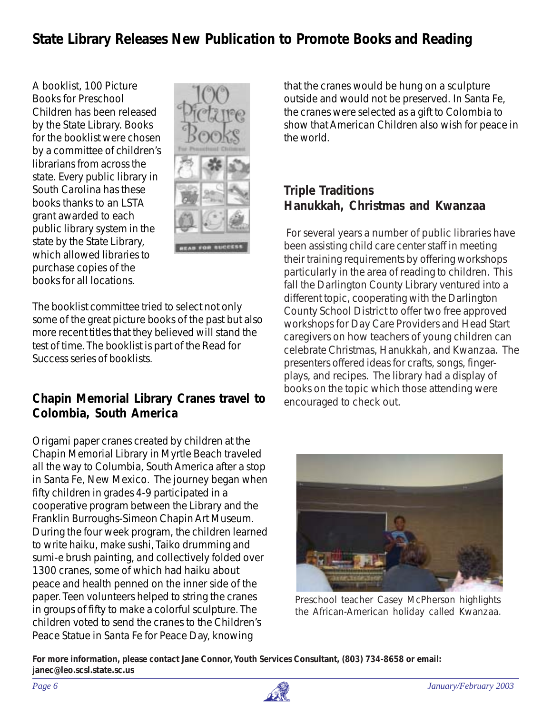## **State Library Releases New Publication to Promote Books and Reading**

 $\frac{1}{2}$  on the application form. The application process for  $\frac{1}{2}$  and  $\frac{1}{2}$  application process for  $\frac{1}{2}$  and  $\frac{1}{2}$  and  $\frac{1}{2}$  and  $\frac{1}{2}$  and  $\frac{1}{2}$  and  $\frac{1}{2}$  and  $\frac{1}{2}$  and  $\frac{1}{2}$  an  $\frac{1}{2}$  telecomm service discounts does not require a technology plan.  $t$  and a value  $t$  to see the spending and  $t$  and  $t$  are  $t$  to say to say to say to say that  $t$ A booklist, *100 Picture Books for Preschool Children* has been released by the State Library. Books by a committee of children's librarians from across the state. Every public library in South Carolina has these books thanks to an LSTA grant awarded to each public library system in the state by the State Library, which allowed libraries to purchase copies of the books for all locations.



The booklist committee tried to select not only some of the great picture books of the past but also more recent titles that they believed will stand the test of time. The booklist is part of the Read for Success series of booklists.

#### **Chapin Memorial Library Cranes travel to Colombia, South America**

Origami paper cranes created by children at the Chapin Memorial Library in Myrtle Beach traveled all the way to Columbia, South America after a stop in Santa Fe, New Mexico. The journey began when fifty children in grades 4-9 participated in a cooperative program between the Library and the Franklin Burroughs-Simeon Chapin Art Museum. During the four week program, the children learned to write haiku, make sushi, Taiko drumming and sumi-e brush painting, and collectively folded over 1300 cranes, some of which had haiku about peace and health penned on the inner side of the paper. Teen volunteers helped to string the cranes in groups of fifty to make a colorful sculpture. The children voted to send the cranes to the Children's Peace Statue in Santa Fe for Peace Day, knowing

booklist, 100 Picture **Every 100 Public Library in South Around South Carolina shows** that the cranes would be hung on a sculpture oks for Preschool enterprise outside and would not be preserved. In Santa Fe, Telecommunications show that American Children also wish for peace in for the booklist were chosen  $\Box$   $\Box$   $\Box$   $\Box$   $\Box$   $\Box$  the world. the cranes were selected as a gift to Colombia to the world.

#### th Carolina has these **the easiest application of the easier of the easier of the easier of the easier of the e**<br> **Triple Traditions** hor a great return. We are all pinching pennis these days and the senate of the senate of the senate of the senate of the senate of the senate of the senate of the senate of the senate of the senate of the senate of the se

**The Form A<sub>pplication</sub> filiping window for Funding Child care center staff in meeting in the staff in meeting that it is a staff in meeting that it is a staff in meeting that it is a staff in meeting that it is a staff in 2003 Trunch and Weding training requirements by offering workshops Monday, Monday, Copies of the formation on service is and the forms with the area of reading to children. This** fall the Darlington County Library ventured into a different topic, cooperating with the Darlington <sup>1</sup> County School District to offer two free approved For several years a number of public libraries have workshops for Day Care Providers and Head Start caregivers on how teachers of young children can celebrate Christmas, Hanukkah, and Kwanzaa. The presenters offered ideas for crafts, songs, fingerplays, and recipes. The library had a display of books on the topic which those attending were encouraged to check out.



*Preschool teacher Casey McPherson highlights the African-American holiday called Kwanzaa.*

**For more information, please contact Jane Connor, Youth Services Consultant, (803) 734-8658 or email: janec@leo.scsl.state.sc.us**

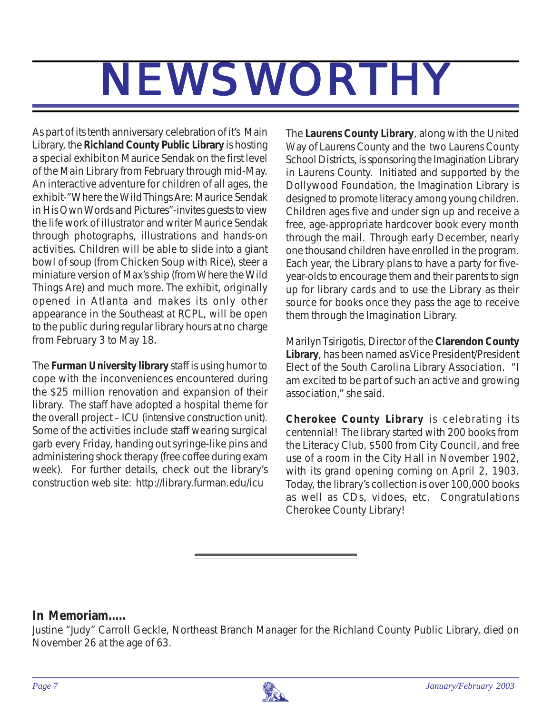# NEWSWORTHY

As part of its tenth anniversary celebration of it's Main Library, the **Richland County Public Library** is hosting a special exhibit on Maurice Sendak on the first level of the Main Library from February through mid-May. An interactive adventure for children of all ages, the exhibit-"Where the Wild Things Are: Maurice Sendak in His Own Words and Pictures"-invites guests to view the life work of illustrator and writer Maurice Sendak through photographs, illustrations and hands-on activities. Children will be able to slide into a giant bowl of soup (from Chicken Soup with Rice), steer a miniature version of Max's ship (from Where the Wild Things Are) and much more. The exhibit, originally opened in Atlanta and makes its only other appearance in the Southeast at RCPL, will be open to the public during regular library hours at no charge from February 3 to May 18.

The **Furman University library** staff is using humor to cope with the inconveniences encountered during the \$25 million renovation and expansion of their library. The staff have adopted a hospital theme for the overall project – ICU (intensive construction unit). Some of the activities include staff wearing surgical garb every Friday, handing out syringe-like pins and administering shock therapy (free coffee during exam week). For further details, check out the library's construction web site: http://library.furman.edu/icu

The **Laurens County Library**, along with the United Way of Laurens County and the two Laurens County School Districts, is sponsoring the Imagination Library in Laurens County. Initiated and supported by the Dollywood Foundation, the Imagination Library is designed to promote literacy among young children. Children ages five and under sign up and receive a free, age-appropriate hardcover book every month through the mail. Through early December, nearly one thousand children have enrolled in the program. Each year, the Library plans to have a party for fiveyear-olds to encourage them and their parents to sign up for library cards and to use the Library as their source for books once they pass the age to receive them through the Imagination Library.

Marilyn Tsirigotis, Director of the **Clarendon County Library**, has been named as Vice President/President Elect of the South Carolina Library Association. "I am excited to be part of such an active and growing association," she said.

**Cherokee County Library** is celebrating its centennial! The library started with 200 books from the Literacy Club, \$500 from City Council, and free use of a room in the City Hall in November 1902, with its grand opening coming on April 2, 1903. Today, the library's collection is over 100,000 books as well as CDs, vidoes, etc. Congratulations Cherokee County Library!

#### *In Memoriam.....*

Justine "Judy" Carroll Geckle, Northeast Branch Manager for the Richland County Public Library, died on November 26 at the age of 63.